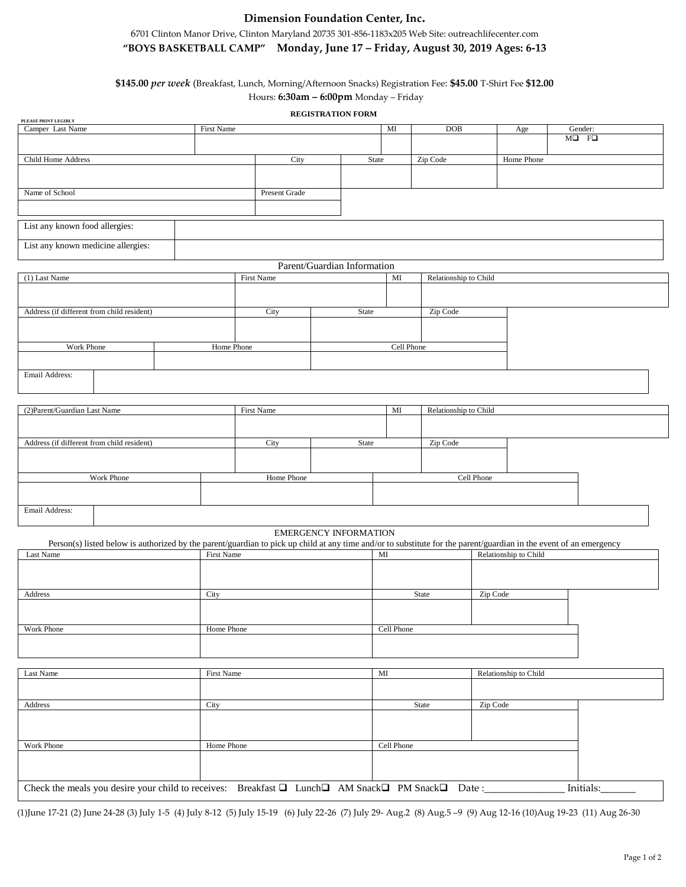# **Dimension Foundation Center, Inc.**

# 6701 Clinton Manor Drive, Clinton Maryland 20735 301-856-1183x205 Web Site: outreachlifecenter.com **"BOYS BASKETBALL CAMP" Monday, June 17 – Friday, August 30, 2019 Ages: 6-13**

# **\$145.00** *per week* (Breakfast, Lunch, Morning/Afternoon Snacks) Registration Fee: **\$45.00** T-Shirt Fee **\$12.00**  Hours: **6:30am – 6:00pm** Monday – Friday

## **REGISTRATION FORM**

| PLEASE PRINT LEGIBLY                                        |  |                             |               |                              |            |                       |                       |                                                                                                                                                                    |
|-------------------------------------------------------------|--|-----------------------------|---------------|------------------------------|------------|-----------------------|-----------------------|--------------------------------------------------------------------------------------------------------------------------------------------------------------------|
| Camper Last Name                                            |  | First Name                  |               |                              | MI         | <b>DOB</b>            | Age                   | Gender:                                                                                                                                                            |
|                                                             |  |                             |               |                              |            |                       |                       | $M\Box$ F $\Box$                                                                                                                                                   |
|                                                             |  |                             |               |                              |            |                       | Home Phone            |                                                                                                                                                                    |
| Child Home Address                                          |  |                             | City          |                              | State      | Zip Code              |                       |                                                                                                                                                                    |
|                                                             |  |                             |               |                              |            |                       |                       |                                                                                                                                                                    |
| Name of School                                              |  |                             | Present Grade |                              |            |                       |                       |                                                                                                                                                                    |
|                                                             |  |                             |               |                              |            |                       |                       |                                                                                                                                                                    |
|                                                             |  |                             |               |                              |            |                       |                       |                                                                                                                                                                    |
| List any known food allergies:                              |  |                             |               |                              |            |                       |                       |                                                                                                                                                                    |
|                                                             |  |                             |               |                              |            |                       |                       |                                                                                                                                                                    |
| List any known medicine allergies:                          |  |                             |               |                              |            |                       |                       |                                                                                                                                                                    |
|                                                             |  |                             |               |                              |            |                       |                       |                                                                                                                                                                    |
|                                                             |  | Parent/Guardian Information |               |                              |            |                       |                       |                                                                                                                                                                    |
| (1) Last Name                                               |  |                             | First Name    |                              | MI         | Relationship to Child |                       |                                                                                                                                                                    |
|                                                             |  |                             |               |                              |            |                       |                       |                                                                                                                                                                    |
|                                                             |  |                             |               |                              |            |                       |                       |                                                                                                                                                                    |
| Address (if different from child resident)                  |  |                             | City          | State                        |            | Zip Code              |                       |                                                                                                                                                                    |
|                                                             |  |                             |               |                              |            |                       |                       |                                                                                                                                                                    |
|                                                             |  |                             |               |                              |            |                       |                       |                                                                                                                                                                    |
| Work Phone                                                  |  |                             | Home Phone    |                              |            | Cell Phone            |                       |                                                                                                                                                                    |
|                                                             |  |                             |               |                              |            |                       |                       |                                                                                                                                                                    |
| Email Address:                                              |  |                             |               |                              |            |                       |                       |                                                                                                                                                                    |
|                                                             |  |                             |               |                              |            |                       |                       |                                                                                                                                                                    |
|                                                             |  |                             |               |                              |            |                       |                       |                                                                                                                                                                    |
| (2) Parent/Guardian Last Name                               |  |                             | First Name    |                              | MI         | Relationship to Child |                       |                                                                                                                                                                    |
|                                                             |  |                             |               |                              |            |                       |                       |                                                                                                                                                                    |
|                                                             |  |                             |               |                              |            |                       |                       |                                                                                                                                                                    |
| Address (if different from child resident)                  |  |                             | City          | State                        |            | Zip Code              |                       |                                                                                                                                                                    |
|                                                             |  |                             |               |                              |            |                       |                       |                                                                                                                                                                    |
|                                                             |  |                             |               |                              |            |                       |                       |                                                                                                                                                                    |
| Work Phone                                                  |  |                             | Home Phone    |                              |            | Cell Phone            |                       |                                                                                                                                                                    |
|                                                             |  |                             |               |                              |            |                       |                       |                                                                                                                                                                    |
|                                                             |  |                             |               |                              |            |                       |                       |                                                                                                                                                                    |
| Email Address:                                              |  |                             |               |                              |            |                       |                       |                                                                                                                                                                    |
|                                                             |  |                             |               |                              |            |                       |                       |                                                                                                                                                                    |
|                                                             |  |                             |               | <b>EMERGENCY INFORMATION</b> |            |                       |                       |                                                                                                                                                                    |
|                                                             |  |                             |               |                              |            |                       |                       | Person(s) listed below is authorized by the parent/guardian to pick up child at any time and/or to substitute for the parent/guardian in the event of an emergency |
| Last Name                                                   |  |                             | First Name    |                              | MI         |                       | Relationship to Child |                                                                                                                                                                    |
|                                                             |  |                             |               |                              |            |                       |                       |                                                                                                                                                                    |
|                                                             |  |                             |               |                              |            |                       |                       |                                                                                                                                                                    |
|                                                             |  |                             |               |                              |            |                       |                       |                                                                                                                                                                    |
|                                                             |  |                             |               |                              |            |                       |                       |                                                                                                                                                                    |
|                                                             |  | City                        |               |                              |            | State                 | Zip Code              |                                                                                                                                                                    |
|                                                             |  |                             |               |                              |            |                       |                       |                                                                                                                                                                    |
|                                                             |  |                             |               |                              |            |                       |                       |                                                                                                                                                                    |
|                                                             |  | Home Phone                  |               |                              | Cell Phone |                       |                       |                                                                                                                                                                    |
|                                                             |  |                             |               |                              |            |                       |                       |                                                                                                                                                                    |
|                                                             |  |                             |               |                              |            |                       |                       |                                                                                                                                                                    |
|                                                             |  |                             |               |                              |            |                       |                       |                                                                                                                                                                    |
|                                                             |  | First Name                  |               |                              | MI         |                       | Relationship to Child |                                                                                                                                                                    |
|                                                             |  |                             |               |                              |            |                       |                       |                                                                                                                                                                    |
|                                                             |  |                             |               |                              |            |                       |                       |                                                                                                                                                                    |
|                                                             |  | City                        |               |                              |            | State                 | Zip Code              |                                                                                                                                                                    |
|                                                             |  |                             |               |                              |            |                       |                       |                                                                                                                                                                    |
|                                                             |  |                             |               |                              |            |                       |                       |                                                                                                                                                                    |
|                                                             |  | Home Phone                  |               |                              | Cell Phone |                       |                       |                                                                                                                                                                    |
|                                                             |  |                             |               |                              |            |                       |                       |                                                                                                                                                                    |
| Address<br>Work Phone<br>Last Name<br>Address<br>Work Phone |  |                             |               |                              |            |                       |                       |                                                                                                                                                                    |

(1)June 17-21 (2) June 24-28 (3) July 1-5 (4) July 8-12 (5) July 15-19 (6) July 22-26 (7) July 29- Aug.2 (8) Aug.5 –9 (9) Aug 12-16 (10)Aug 19-23 (11) Aug 26-30